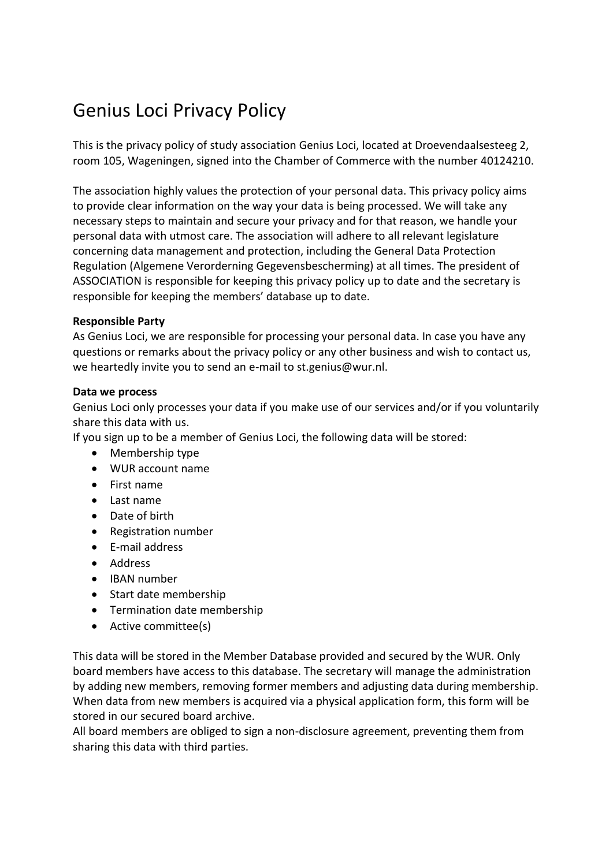# Genius Loci Privacy Policy

This is the privacy policy of study association Genius Loci, located at Droevendaalsesteeg 2, room 105, Wageningen, signed into the Chamber of Commerce with the number 40124210.

The association highly values the protection of your personal data. This privacy policy aims to provide clear information on the way your data is being processed. We will take any necessary steps to maintain and secure your privacy and for that reason, we handle your personal data with utmost care. The association will adhere to all relevant legislature concerning data management and protection, including the General Data Protection Regulation (Algemene Verorderning Gegevensbescherming) at all times. The president of ASSOCIATION is responsible for keeping this privacy policy up to date and the secretary is responsible for keeping the members' database up to date.

#### **Responsible Party**

As Genius Loci, we are responsible for processing your personal data. In case you have any questions or remarks about the privacy policy or any other business and wish to contact us, we heartedly invite you to send an e-mail to st.genius@wur.nl.

#### **Data we process**

Genius Loci only processes your data if you make use of our services and/or if you voluntarily share this data with us.

If you sign up to be a member of Genius Loci, the following data will be stored:

- Membership type
- WUR account name
- First name
- $\bullet$  Last name
- Date of birth
- Registration number
- E-mail address
- Address
- IBAN number
- Start date membership
- Termination date membership
- Active committee(s)

This data will be stored in the Member Database provided and secured by the WUR. Only board members have access to this database. The secretary will manage the administration by adding new members, removing former members and adjusting data during membership. When data from new members is acquired via a physical application form, this form will be stored in our secured board archive.

All board members are obliged to sign a non-disclosure agreement, preventing them from sharing this data with third parties.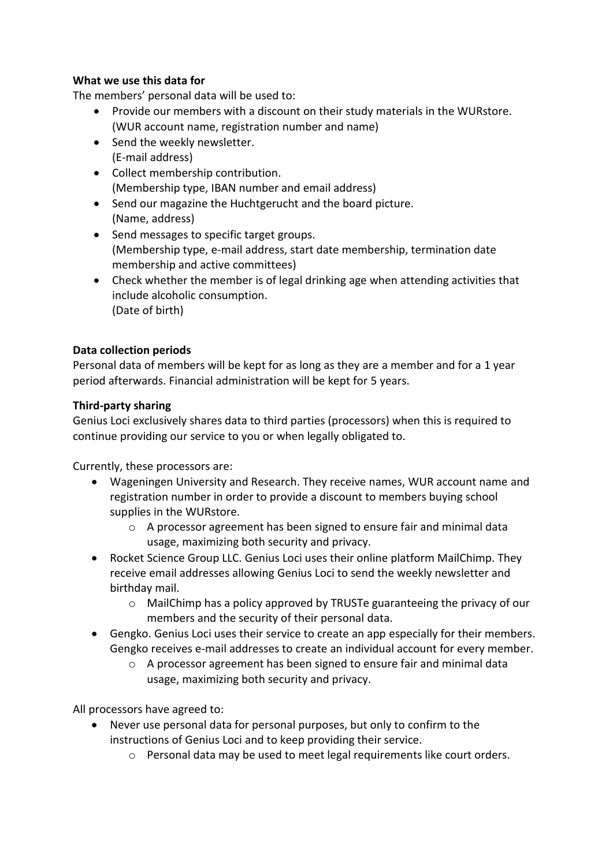# **What we use this data for**

The members' personal data will be used to:

- Provide our members with a discount on their study materials in the WURstore. (WUR account name, registration number and name)
- Send the weekly newsletter. (E-mail address)
- Collect membership contribution. (Membership type, IBAN number and email address)
- Send our magazine the Huchtgerucht and the board picture. (Name, address)
- Send messages to specific target groups. (Membership type, e-mail address, start date membership, termination date membership and active committees)
- Check whether the member is of legal drinking age when attending activities that include alcoholic consumption. (Date of birth)

# **Data collection periods**

Personal data of members will be kept for as long as they are a member and for a 1 year period afterwards. Financial administration will be kept for 5 years.

# **Third-party sharing**

Genius Loci exclusively shares data to third parties (processors) when this is required to continue providing our service to you or when legally obligated to.

Currently, these processors are:

- Wageningen University and Research. They receive names, WUR account name and registration number in order to provide a discount to members buying school supplies in the WURstore.
	- $\circ$  A processor agreement has been signed to ensure fair and minimal data usage, maximizing both security and privacy.
- Rocket Science Group LLC. Genius Loci uses their online platform MailChimp. They receive email addresses allowing Genius Loci to send the weekly newsletter and birthday mail.
	- $\circ$  MailChimp has a policy approved by TRUSTe guaranteeing the privacy of our members and the security of their personal data.
- Gengko. Genius Loci uses their service to create an app especially for their members. Gengko receives e-mail addresses to create an individual account for every member.
	- o A processor agreement has been signed to ensure fair and minimal data usage, maximizing both security and privacy.

All processors have agreed to:

- Never use personal data for personal purposes, but only to confirm to the instructions of Genius Loci and to keep providing their service.
	- o Personal data may be used to meet legal requirements like court orders.